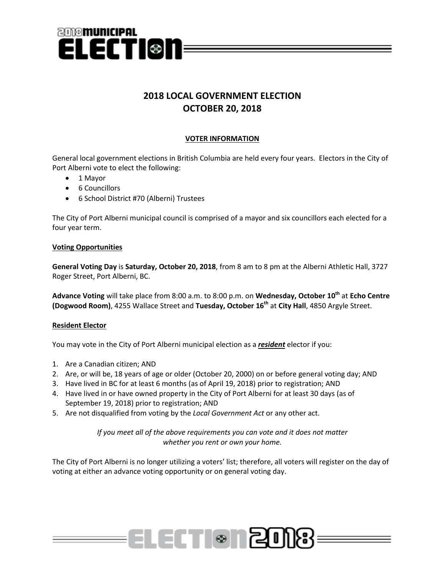

# **2018 LOCAL GOVERNMENT ELECTION OCTOBER 20, 2018**

## **VOTER INFORMATION**

General local government elections in British Columbia are held every four years. Electors in the City of Port Alberni vote to elect the following:

- 1 Mayor
- 6 Councillors
- 6 School District #70 (Alberni) Trustees

The City of Port Alberni municipal council is comprised of a mayor and six councillors each elected for a four year term.

### **Voting Opportunities**

**General Voting Day** is **Saturday, October 20, 2018**, from 8 am to 8 pm at the Alberni Athletic Hall, 3727 Roger Street, Port Alberni, BC.

**Advance Voting** will take place from 8:00 a.m. to 8:00 p.m. on **Wednesday, October 10th** at **Echo Centre (Dogwood Room)**, 4255 Wallace Street and **Tuesday, October 16th** at **City Hall**, 4850 Argyle Street.

## **Resident Elector**

You may vote in the City of Port Alberni municipal election as a *resident* elector if you:

- 1. Are a Canadian citizen; AND
- 2. Are, or will be, 18 years of age or older (October 20, 2000) on or before general voting day; AND
- 3. Have lived in BC for at least 6 months (as of April 19, 2018) prior to registration; AND
- 4. Have lived in or have owned property in the City of Port Alberni for at least 30 days (as of September 19, 2018) prior to registration; AND
- 5. Are not disqualified from voting by the *Local Government Act* or any other act.

## *If you meet all of the above requirements you can vote and it does not matter whether you rent or own your home.*

The City of Port Alberni is no longer utilizing a voters' list; therefore, all voters will register on the day of voting at either an advance voting opportunity or on general voting day.

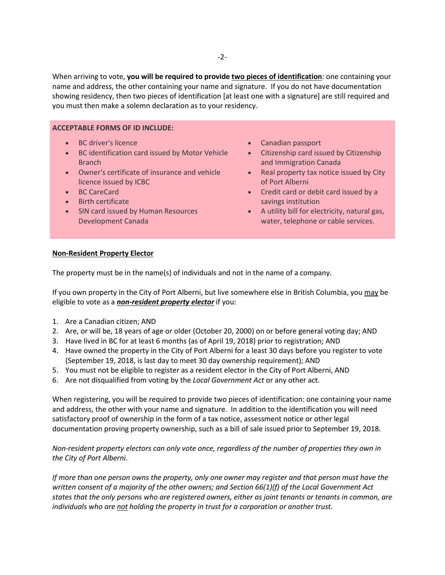When arriving to vote, **you will be required to provide two pieces of identification**: one containing your name and address, the other containing your name and signature. If you do not have documentation showing residency, then two pieces of identification [at least one with a signature] are still required and you must then make a solemn declaration as to your residency.

### **ACCEPTABLE FORMS OF ID INCLUDE:**

- BC driver's licence
- BC identification card issued by Motor Vehicle **Branch**
- Owner's certificate of insurance and vehicle licence issued by ICBC
- BC CareCard
- Birth certificate
- SIN card issued by Human Resources Development Canada
- Canadian passport
- Citizenship card issued by Citizenship and Immigration Canada
- Real property tax notice issued by City of Port Alberni
- Credit card or debit card issued by a savings institution
- A utility bill for electricity, natural gas, water, telephone or cable services.

### **Non-Resident Property Elector**

The property must be in the name(s) of individuals and not in the name of a company.

If you own property in the City of Port Alberni, but live somewhere else in British Columbia, you may be eligible to vote as a *non-resident property elector* if you:

- 1. Are a Canadian citizen; AND
- 2. Are, or will be, 18 years of age or older (October 20, 2000) on or before general voting day; AND
- 3. Have lived in BC for at least 6 months (as of April 19, 2018) prior to registration; AND
- 4. Have owned the property in the City of Port Alberni for a least 30 days before you register to vote (September 19, 2018, is last day to meet 30 day ownership requirement); AND
- 5. You must not be eligible to register as a resident elector in the City of Port Alberni, AND
- 6. Are not disqualified from voting by the *Local Government Act* or any other act.

When registering, you will be required to provide two pieces of identification: one containing your name and address, the other with your name and signature. In addition to the identification you will need satisfactory proof of ownership in the form of a tax notice, assessment notice or other legal documentation proving property ownership, such as a bill of sale issued prior to September 19, 2018.

*Non-resident property electors can only vote once, regardless of the number of properties they own in the City of Port Alberni.*

*If more than one person owns the property, only one owner may register and that person must have the written consent of a majority of the other owners; and Section 66(1)(f) of the Local Government Act states that the only persons who are registered owners, either as joint tenants or tenants in common, are individuals who are not holding the property in trust for a corporation or another trust.*